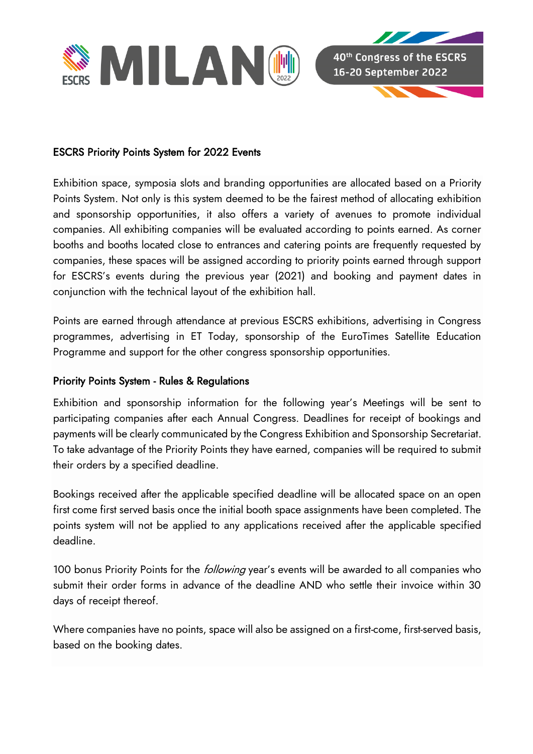

## ESCRS Priority Points System for 2022 Events

Exhibition space, symposia slots and branding opportunities are allocated based on a Priority Points System. Not only is this system deemed to be the fairest method of allocating exhibition and sponsorship opportunities, it also offers a variety of avenues to promote individual companies. All exhibiting companies will be evaluated according to points earned. As corner booths and booths located close to entrances and catering points are frequently requested by companies, these spaces will be assigned according to priority points earned through support for ESCRS's events during the previous year (2021) and booking and payment dates in conjunction with the technical layout of the exhibition hall.

Points are earned through attendance at previous ESCRS exhibitions, advertising in Congress programmes, advertising in ET Today, sponsorship of the EuroTimes Satellite Education Programme and support for the other congress sponsorship opportunities.

## Priority Points System - Rules & Regulations

Exhibition and sponsorship information for the following year's Meetings will be sent to participating companies after each Annual Congress. Deadlines for receipt of bookings and payments will be clearly communicated by the Congress Exhibition and Sponsorship Secretariat. To take advantage of the Priority Points they have earned, companies will be required to submit their orders by a specified deadline.

Bookings received after the applicable specified deadline will be allocated space on an open first come first served basis once the initial booth space assignments have been completed. The points system will not be applied to any applications received after the applicable specified deadline.

100 bonus Priority Points for the *following* year's events will be awarded to all companies who submit their order forms in advance of the deadline AND who settle their invoice within 30 days of receipt thereof.

Where companies have no points, space will also be assigned on a first-come, first-served basis, based on the booking dates.